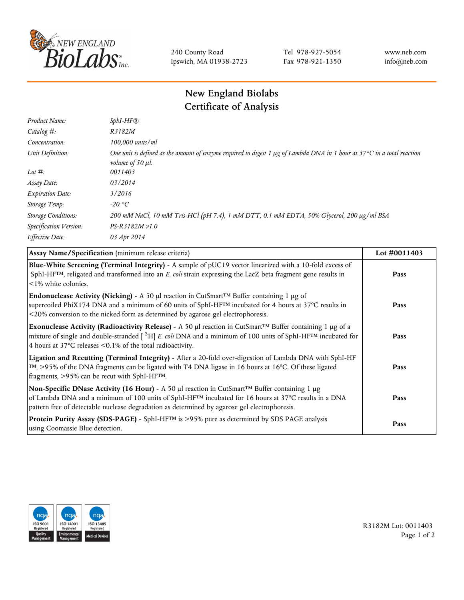

240 County Road Ipswich, MA 01938-2723 Tel 978-927-5054 Fax 978-921-1350 www.neb.com info@neb.com

## **New England Biolabs Certificate of Analysis**

| $SphI-HF$ $R$                                                                                                                                                          |
|------------------------------------------------------------------------------------------------------------------------------------------------------------------------|
| R3182M                                                                                                                                                                 |
| 100,000 units/ml                                                                                                                                                       |
| One unit is defined as the amount of enzyme required to digest 1 $\mu$ g of Lambda DNA in 1 hour at 37°C in a total reaction<br><i>volume of 50 <math>\mu</math>l.</i> |
| 0011403                                                                                                                                                                |
| 03/2014                                                                                                                                                                |
| 3/2016                                                                                                                                                                 |
| -20 °C                                                                                                                                                                 |
| 200 mM NaCl, 10 mM Tris-HCl (pH 7.4), 1 mM DTT, 0.1 mM EDTA, 50% Glycerol, 200 µg/ml BSA                                                                               |
| $PS-R3182M \nu 1.0$                                                                                                                                                    |
| 03 Apr 2014                                                                                                                                                            |
|                                                                                                                                                                        |

| Assay Name/Specification (minimum release criteria)                                                                                                                                                                                                                                                                | Lot #0011403 |
|--------------------------------------------------------------------------------------------------------------------------------------------------------------------------------------------------------------------------------------------------------------------------------------------------------------------|--------------|
| Blue-White Screening (Terminal Integrity) - A sample of pUC19 vector linearized with a 10-fold excess of<br>SphI-HF <sup>TM</sup> , religated and transformed into an E. coli strain expressing the LacZ beta fragment gene results in<br>$\leq$ 1% white colonies.                                                | Pass         |
| <b>Endonuclease Activity (Nicking)</b> - A 50 µl reaction in CutSmart <sup>TM</sup> Buffer containing 1 µg of<br>supercoiled PhiX174 DNA and a minimum of 60 units of SphI-HF™ incubated for 4 hours at 37°C results in<br><20% conversion to the nicked form as determined by agarose gel electrophoresis.        | Pass         |
| Exonuclease Activity (Radioactivity Release) - A 50 µl reaction in CutSmart™ Buffer containing 1 µg of a<br>mixture of single and double-stranded $[{}^{3}H]$ E. coli DNA and a minimum of 100 units of SphI-HF <sup>TM</sup> incubated for<br>4 hours at 37°C releases <0.1% of the total radioactivity.          | Pass         |
| Ligation and Recutting (Terminal Integrity) - After a 20-fold over-digestion of Lambda DNA with SphI-HF<br>TM, >95% of the DNA fragments can be ligated with T4 DNA ligase in 16 hours at 16°C. Of these ligated<br>fragments, >95% can be recut with SphI-HFTM.                                                   | Pass         |
| Non-Specific DNase Activity (16 Hour) - A 50 µl reaction in CutSmart™ Buffer containing 1 µg<br>of Lambda DNA and a minimum of 100 units of SphI-HF <sup>TM</sup> incubated for 16 hours at 37°C results in a DNA<br>pattern free of detectable nuclease degradation as determined by agarose gel electrophoresis. | Pass         |
| Protein Purity Assay (SDS-PAGE) - SphI-HF™ is >95% pure as determined by SDS PAGE analysis<br>using Coomassie Blue detection.                                                                                                                                                                                      | Pass         |



R3182M Lot: 0011403 Page 1 of 2